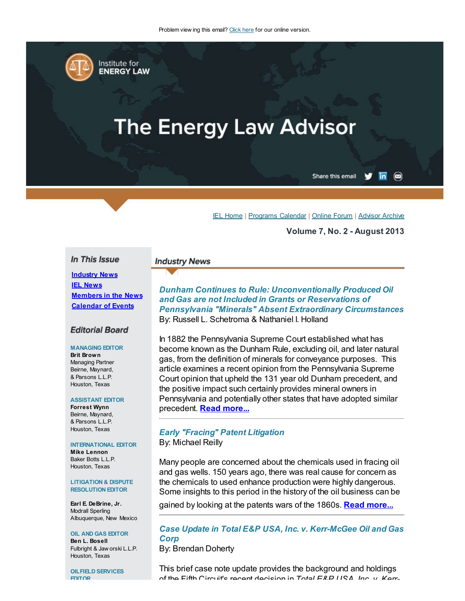

# **The Energy Law Advisor**

Share this email  $\overline{\mathsf{in}}$   $\circledcirc$ 

IEL [Home](http://www.cailaw.org/institute-for-energy-law/index.html) | [Programs](http://www.cailaw.org/institute-for-energy-law/programs-calendar.html) Calendar | [Online](http://www.linkedin.com/groups?homeNewMember=&gid=2370373&trk=&ut=0XojoQQoYP6ls1) Forum | [Advisor](http://www.cailaw.org/institute-for-energy-law/publications/energy-law-advisor.html) Archive

Volume 7, No. 2 - August 2013

## In This Issue

**[Industry](http://cailaw.informz.net/InformzDataService/OnlineVersion/Individual?mailingInstanceId=2541200&subscriberId=781094093#indusrynews) News IEL [News](http://cailaw.informz.net/InformzDataService/OnlineVersion/Individual?mailingInstanceId=2541200&subscriberId=781094093#ielnews)** [Members](http://cailaw.informz.net/InformzDataService/OnlineVersion/Individual?mailingInstanceId=2541200&subscriberId=781094093#membernews) in the News [Calendar](http://cailaw.informz.net/InformzDataService/OnlineVersion/Individual?mailingInstanceId=2541200&subscriberId=781094093#calendar) of Events

#### **Editorial Board**

#### MANAGING EDITOR

Brit Brown Managing Partner Beirne, Maynard, & Parsons L.L.P. Houston, Texas

#### ASSISTANT EDITOR

Forrest Wynn Beirne, Maynard, & Parsons L.L.P. Houston, Texas

#### INTERNATIONAL EDITOR

Mike Lennon Baker Botts L.L.P. Houston, Texas

#### LITIGATION & DISPUTE RESOLUTION EDITOR

Earl E. DeBrine, Jr. Modrall Sperling Albuquerque, New Mexico

OIL AND GAS EDITOR Ben L. Bosell Fulbright & Jaw orski L.L.P. Houston, Texas

OILFIELD SERVICES EDITOR

#### **Industry News**

Dunham Continues to Rule: Unconventionally Produced Oil and Gas are not Included in Grants or Reservations of Pennsylvania "Minerals" Absent Extraordinary Circumstances By: Russell L. Schetroma & Nathaniel I. Holland

In 1882 the Pennsylvania Supreme Court established what has become known as the Dunham Rule, excluding oil, and later natural gas, from the definition of minerals for conveyance purposes. This article examines a recent opinion from the Pennsylvania Supreme Court opinion that upheld the 131 year old Dunham precedent, and the positive impact such certainly provides mineral owners in Pennsylvania and potentially other states that have adopted similar precedent. Read [more...](http://cailaw.informz.net/admin31/content/template.asp?sid=32263&ptid=799&brandid=3434&uid=781094093&mi=2541200&ps=32263)

### Early "Fracing" Patent Litigation By: Michael Reilly

Many people are concerned about the chemicals used in fracing oil and gas wells. 150 years ago, there was real cause for concern as the chemicals to used enhance production were highly dangerous. Some insights to this period in the history of the oil business can be

gained by looking at the patents wars of the 1860s. Read [more...](http://cailaw.informz.net/admin31/content/template.asp?sid=32264&ptid=799&brandid=3434&uid=781094093&mi=2541200&ps=32264)

Case Update in Total E&P USA, Inc. v. Kerr-McGee Oil and Gas **Corp** 

By: Brendan Doherty

This brief case note update provides the background and holdings of the Fifth Circuit's recent decision in Total E&P USA, Inc. v. Kerr-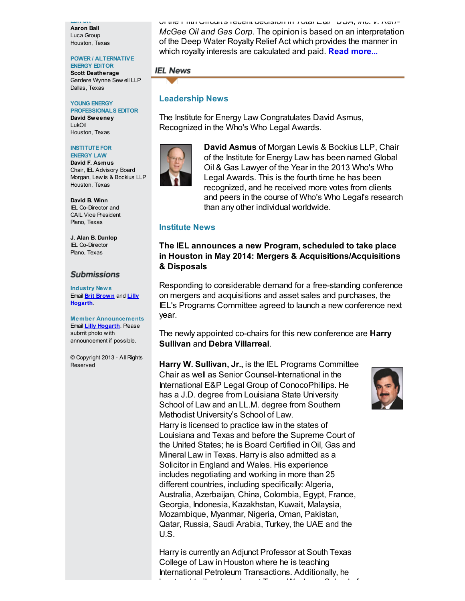EDITOR Aaron Ball Luca Group Houston, Texas

## POWER / ALTERNATIVE

ENERGY EDITOR Scott Deatherage Gardere Wynne Sew ell LLP Dallas, Texas

#### YOUNG ENERGY PROFESSIONALS EDITOR

David Sweeney LukOil Houston, Texas

#### **INSTITUTE FOR** ENERGY LAW

David F. Asmus Chair, IEL Advisory Board Morgan, Lew is & Bockius LLP Houston, Texas

David B. Winn IEL Co-Director and CAIL Vice President Plano, Texas

J. Alan B. Dunlop IEL Co-Director Plano, Texas

## **Submissions**

Industry News Email **Brit [Brown](mailto:bbrown@bmpllp.com)** and **Lilly [Hogarth](mailto:lhogarth@cailaw.org)** 

Member Announcements Email **Lilly [Hogarth](mailto:lhogarth@cailaw.org)**. Please submit photo w ith announcement if possible.

© Copyright 2013 - All Rights Reserved

of the Fifth Circuit's recent decision in Total E&P USA, Inc. v. Kerr-McGee Oil and Gas Corp. The opinion is based on an interpretation of the Deep Water Royalty Relief Act which provides the manner in which royalty interests are calculated and paid. **Read [more...](http://cailaw.informz.net/admin31/content/template.asp?sid=32296&ptid=799&brandid=3434&uid=781094093&mi=2541200&ps=32296)** 

## **IEL News**

## Leadership News

The Institute for Energy Law Congratulates David Asmus, Recognized in the Who's Who Legal Awards.



David Asmus of Morgan Lewis & Bockius LLP, Chair of the Institute for Energy Law has been named Global Oil & Gas Lawyer of the Year in the 2013 Who's Who Legal Awards. This is the fourth time he has been recognized, and he received more votes from clients and peers in the course of Who's Who Legal's research than any other individual worldwide.

## Institute News

# The IEL announces a new Program, scheduled to take place in Houston in May 2014: Mergers & Acquisitions/Acquisitions & Disposals

Responding to considerable demand for a free-standing conference on mergers and acquisitions and asset sales and purchases, the IEL's Programs Committee agreed to launch a new conference next year.

The newly appointed co-chairs for this new conference are **Harry** Sullivan and Debra Villarreal.

Harry W. Sullivan, Jr., is the IEL Programs Committee Chair as well as Senior Counsel-International in the International E&P Legal Group of ConocoPhillips. He has a J.D. degree from Louisiana State University School of Law and an LL.M. degree from Southern Methodist University's School of Law. Harry is licensed to practice law in the states of Louisiana and Texas and before the Supreme Court of the United States; he is Board Certified in Oil, Gas and Mineral Law in Texas. Harry is also admitted as a Solicitor in England and Wales. His experience includes negotiating and working in more than 25 different countries, including specifically: Algeria, Australia, Azerbaijan, China, Colombia, Egypt, France, Georgia, Indonesia, Kazakhstan, Kuwait, Malaysia, Mozambique, Myanmar, Nigeria, Oman, Pakistan, Qatar, Russia, Saudi Arabia, Turkey, the UAE and the U.S.

Harry is currently an Adjunct Professor at South Texas College of Law in Houston where he is teaching International Petroleum Transactions. Additionally, he has taught oil and gas law at Texas Wesleyan School of

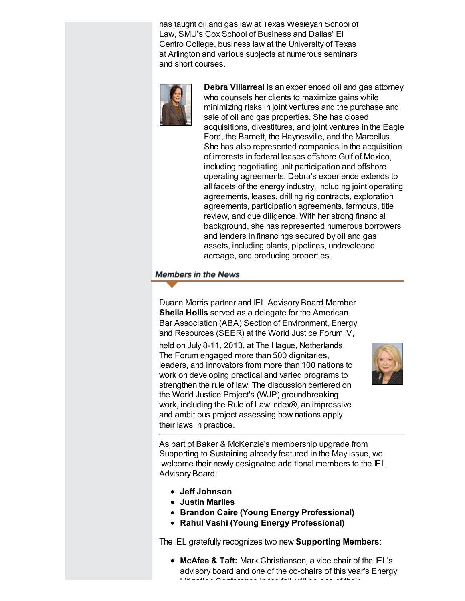has taught oil and gas law at Texas Wesleyan School of Law, SMU's Cox School of Business and Dallas' El Centro College, business law at the University of Texas at Arlington and various subjects at numerous seminars and short courses.



Debra Villarreal is an experienced oil and gas attorney who counsels her clients to maximize gains while minimizing risks in joint ventures and the purchase and sale of oil and gas properties. She has closed acquisitions, divestitures, and joint ventures in the Eagle Ford, the Barnett, the Haynesville, and the Marcellus. She has also represented companies in the acquisition of interests in federal leases offshore Gulf of Mexico, including negotiating unit participation and offshore operating agreements. Debra's experience extends to all facets of the energy industry, including joint operating agreements, leases, drilling rig contracts, exploration agreements, participation agreements, farmouts, title review, and due diligence. With her strong financial background, she has represented numerous borrowers and lenders in financings secured by oil and gas assets, including plants, pipelines, undeveloped acreage, and producing properties.

## **Members in the News**

Duane Morris partner and IEL Advisory Board Member Sheila Hollis served as a delegate for the American Bar Association (ABA) Section of Environment, Energy, and Resources (SEER) at the World Justice Forum IV,

held on July 8-11, 2013, at The Hague, Netherlands. The Forum engaged more than 500 dignitaries, leaders, and innovators from more than 100 nations to work on developing practical and varied programs to strengthen the rule of law. The discussion centered on the World Justice Project's (WJP) groundbreaking work, including the Rule of Law Index®, an impressive and ambitious project assessing how nations apply their laws in practice.



As part of Baker & McKenzie's membership upgrade from Supporting to Sustaining already featured in the May issue, we welcome their newly designated additional members to the IEL Advisory Board:

- Jeff Johnson
- Justin Marlles
- Brandon Caire (Young Energy Professional)
- Rahul Vashi (Young Energy Professional)

The IEL gratefully recognizes two new Supporting Members:

• McAfee & Taft: Mark Christiansen, a vice chair of the IEL's advisory board and one of the co-chairs of this year's Energy Litigation Conference in the fall, will be one of their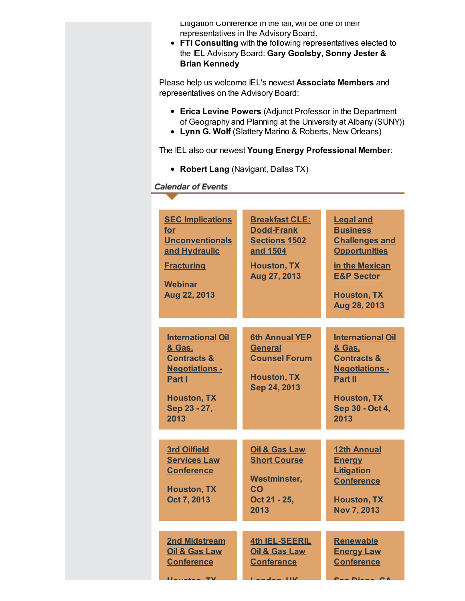Litigation Conference in the fall, will be one of their representatives in the Advisory Board.

FTI Consulting with the following representatives elected to the IEL Advisory Board: Gary Goolsby, Sonny Jester & Brian Kennedy

Please help us welcome IEL's newest Associate Members and representatives on the Advisory Board:

- Erica Levine Powers (Adjunct Professor in the Department of Geography and Planning at the University at Albany (SUNY))
- Lynn G. Wolf (Slattery Marino & Roberts, New Orleans)

The IEL also our newest Young Energy Professional Member:

• Robert Lang (Navigant, Dallas TX)

## **Calendar of Events**

| <b>SEC Implications</b><br>for<br><b>Unconventionals</b><br>and Hydraulic<br><b>Fracturing</b><br><b>Webinar</b><br>Aug 22, 2013              | <b>Breakfast CLE:</b><br><b>Dodd-Frank</b><br><b>Sections 1502</b><br>and 1504<br><b>Houston, TX</b><br>Aug 27, 2013 | <b>Legal and</b><br><b>Business</b><br><b>Challenges and</b><br><b>Opportunities</b><br>in the Mexican<br><b>E&amp;P Sector</b><br><b>Houston, TX</b><br>Aug 28, 2013 |
|-----------------------------------------------------------------------------------------------------------------------------------------------|----------------------------------------------------------------------------------------------------------------------|-----------------------------------------------------------------------------------------------------------------------------------------------------------------------|
|                                                                                                                                               |                                                                                                                      |                                                                                                                                                                       |
| <b>International Oil</b><br>& Gas.<br><b>Contracts &amp;</b><br><b>Negotiations -</b><br>Part I<br><b>Houston, TX</b><br>Sep 23 - 27,<br>2013 | <b>6th Annual YEP</b><br><b>General</b><br><b>Counsel Forum</b><br><b>Houston, TX</b><br>Sep 24, 2013                | <b>International Oil</b><br>& Gas.<br><b>Contracts &amp;</b><br><b>Negotiations -</b><br><b>Part II</b><br><b>Houston, TX</b><br>Sep 30 - Oct 4,<br>2013              |
|                                                                                                                                               |                                                                                                                      |                                                                                                                                                                       |
| <b>3rd Oilfield</b><br><b>Services Law</b><br><b>Conference</b><br><b>Houston, TX</b><br>Oct 7, 2013                                          | <b>Oil &amp; Gas Law</b><br><b>Short Course</b><br><b>Westminster,</b><br>CO<br>Oct 21 - 25,<br>2013                 | <b>12th Annual</b><br><b>Energy</b><br><b>Litigation</b><br><b>Conference</b><br><b>Houston, TX</b><br><b>Nov 7, 2013</b>                                             |
|                                                                                                                                               |                                                                                                                      |                                                                                                                                                                       |
| <b>2nd Midstream</b><br><b>Oil &amp; Gas Law</b><br><b>Conference</b><br><b>Hamatan</b>                                                       | 4th IEL-SEERIL<br><b>Oil &amp; Gas Law</b><br><b>Conference</b><br>$-1$<br>1,112                                     | <b>Renewable</b><br><b>Energy Law</b><br><b>Conference</b><br><b>CONTRACTOR</b>                                                                                       |
|                                                                                                                                               |                                                                                                                      |                                                                                                                                                                       |